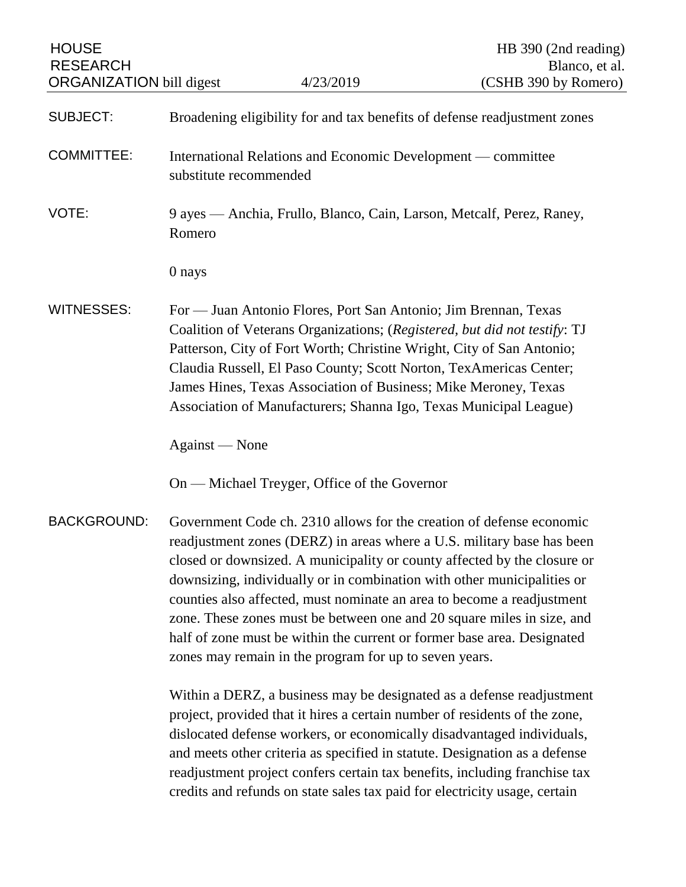| <b>HOUSE</b><br><b>RESEARCH</b><br><b>ORGANIZATION</b> bill digest |                                                                                                                                                                                                                                                                                                                                                                                                                                                                                                                                                                                                | 4/23/2019                                                                                                                                                                                                                                                                     | HB 390 (2nd reading)<br>Blanco, et al.<br>(CSHB 390 by Romero)                                                                                                                                                                                                                                                                                                                                                                                                          |
|--------------------------------------------------------------------|------------------------------------------------------------------------------------------------------------------------------------------------------------------------------------------------------------------------------------------------------------------------------------------------------------------------------------------------------------------------------------------------------------------------------------------------------------------------------------------------------------------------------------------------------------------------------------------------|-------------------------------------------------------------------------------------------------------------------------------------------------------------------------------------------------------------------------------------------------------------------------------|-------------------------------------------------------------------------------------------------------------------------------------------------------------------------------------------------------------------------------------------------------------------------------------------------------------------------------------------------------------------------------------------------------------------------------------------------------------------------|
|                                                                    |                                                                                                                                                                                                                                                                                                                                                                                                                                                                                                                                                                                                |                                                                                                                                                                                                                                                                               |                                                                                                                                                                                                                                                                                                                                                                                                                                                                         |
| <b>SUBJECT:</b>                                                    | Broadening eligibility for and tax benefits of defense readjustment zones                                                                                                                                                                                                                                                                                                                                                                                                                                                                                                                      |                                                                                                                                                                                                                                                                               |                                                                                                                                                                                                                                                                                                                                                                                                                                                                         |
| <b>COMMITTEE:</b>                                                  | International Relations and Economic Development — committee<br>substitute recommended                                                                                                                                                                                                                                                                                                                                                                                                                                                                                                         |                                                                                                                                                                                                                                                                               |                                                                                                                                                                                                                                                                                                                                                                                                                                                                         |
| VOTE:                                                              | Romero                                                                                                                                                                                                                                                                                                                                                                                                                                                                                                                                                                                         |                                                                                                                                                                                                                                                                               | 9 ayes — Anchia, Frullo, Blanco, Cain, Larson, Metcalf, Perez, Raney,                                                                                                                                                                                                                                                                                                                                                                                                   |
|                                                                    | 0 nays                                                                                                                                                                                                                                                                                                                                                                                                                                                                                                                                                                                         |                                                                                                                                                                                                                                                                               |                                                                                                                                                                                                                                                                                                                                                                                                                                                                         |
| <b>WITNESSES:</b>                                                  |                                                                                                                                                                                                                                                                                                                                                                                                                                                                                                                                                                                                | For — Juan Antonio Flores, Port San Antonio; Jim Brennan, Texas<br>Claudia Russell, El Paso County; Scott Norton, TexAmericas Center;<br>James Hines, Texas Association of Business; Mike Meroney, Texas<br>Association of Manufacturers; Shanna Igo, Texas Municipal League) | Coalition of Veterans Organizations; (Registered, but did not testify: TJ<br>Patterson, City of Fort Worth; Christine Wright, City of San Antonio;                                                                                                                                                                                                                                                                                                                      |
|                                                                    | Against - None                                                                                                                                                                                                                                                                                                                                                                                                                                                                                                                                                                                 |                                                                                                                                                                                                                                                                               |                                                                                                                                                                                                                                                                                                                                                                                                                                                                         |
|                                                                    |                                                                                                                                                                                                                                                                                                                                                                                                                                                                                                                                                                                                | On — Michael Treyger, Office of the Governor                                                                                                                                                                                                                                  |                                                                                                                                                                                                                                                                                                                                                                                                                                                                         |
| <b>BACKGROUND:</b>                                                 | Government Code ch. 2310 allows for the creation of defense economic<br>readjustment zones (DERZ) in areas where a U.S. military base has been<br>closed or downsized. A municipality or county affected by the closure or<br>downsizing, individually or in combination with other municipalities or<br>counties also affected, must nominate an area to become a readjustment<br>zone. These zones must be between one and 20 square miles in size, and<br>half of zone must be within the current or former base area. Designated<br>zones may remain in the program for up to seven years. |                                                                                                                                                                                                                                                                               |                                                                                                                                                                                                                                                                                                                                                                                                                                                                         |
|                                                                    |                                                                                                                                                                                                                                                                                                                                                                                                                                                                                                                                                                                                |                                                                                                                                                                                                                                                                               | Within a DERZ, a business may be designated as a defense readjustment<br>project, provided that it hires a certain number of residents of the zone,<br>dislocated defense workers, or economically disadvantaged individuals,<br>and meets other criteria as specified in statute. Designation as a defense<br>readjustment project confers certain tax benefits, including franchise tax<br>credits and refunds on state sales tax paid for electricity usage, certain |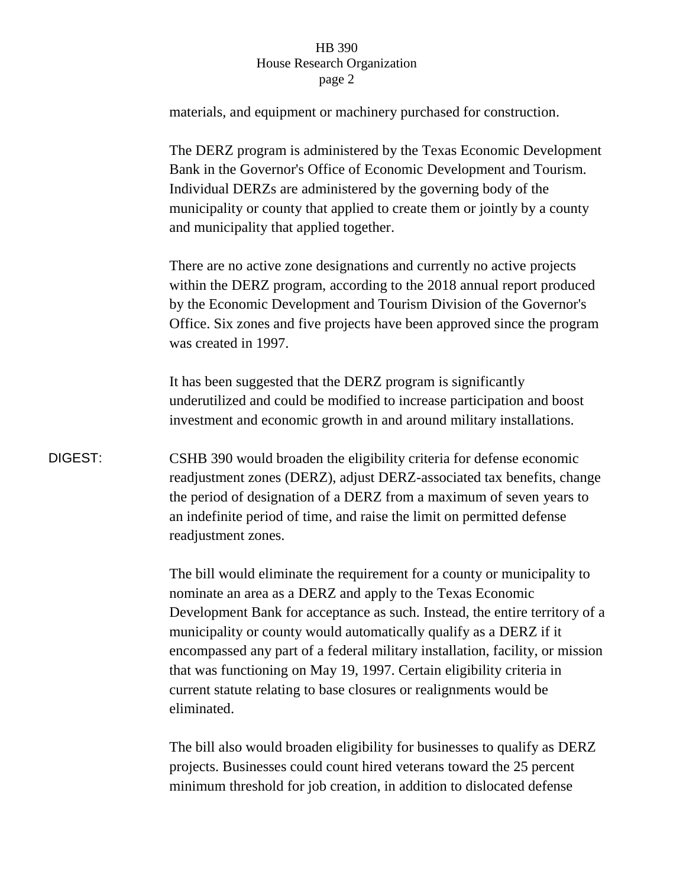## HB 390 House Research Organization page 2

materials, and equipment or machinery purchased for construction.

The DERZ program is administered by the Texas Economic Development Bank in the Governor's Office of Economic Development and Tourism. Individual DERZs are administered by the governing body of the municipality or county that applied to create them or jointly by a county and municipality that applied together.

There are no active zone designations and currently no active projects within the DERZ program, according to the 2018 annual report produced by the Economic Development and Tourism Division of the Governor's Office. Six zones and five projects have been approved since the program was created in 1997.

It has been suggested that the DERZ program is significantly underutilized and could be modified to increase participation and boost investment and economic growth in and around military installations.

DIGEST: CSHB 390 would broaden the eligibility criteria for defense economic readjustment zones (DERZ), adjust DERZ-associated tax benefits, change the period of designation of a DERZ from a maximum of seven years to an indefinite period of time, and raise the limit on permitted defense readjustment zones.

> The bill would eliminate the requirement for a county or municipality to nominate an area as a DERZ and apply to the Texas Economic Development Bank for acceptance as such. Instead, the entire territory of a municipality or county would automatically qualify as a DERZ if it encompassed any part of a federal military installation, facility, or mission that was functioning on May 19, 1997. Certain eligibility criteria in current statute relating to base closures or realignments would be eliminated.

The bill also would broaden eligibility for businesses to qualify as DERZ projects. Businesses could count hired veterans toward the 25 percent minimum threshold for job creation, in addition to dislocated defense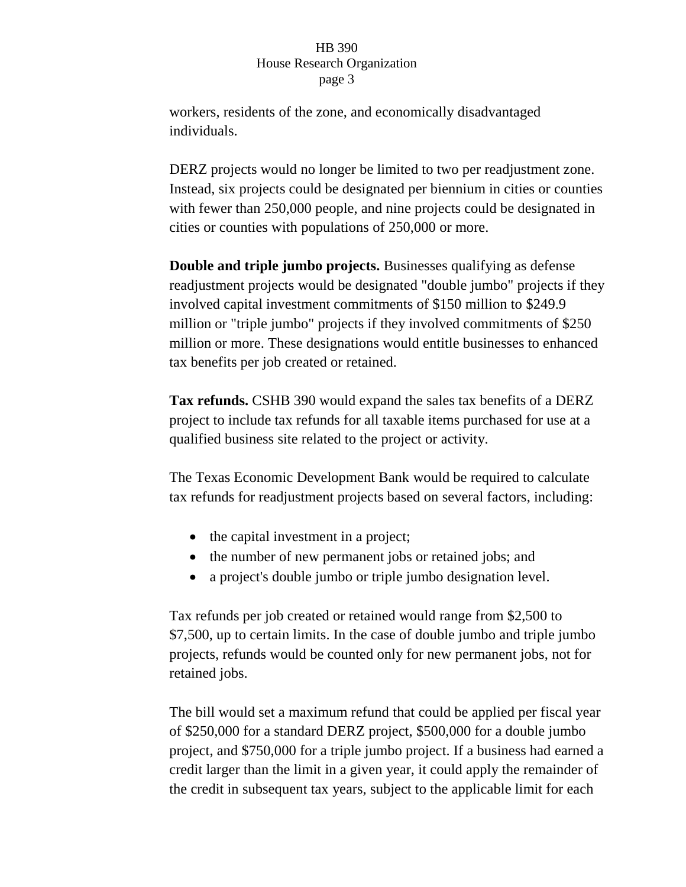## HB 390 House Research Organization page 3

workers, residents of the zone, and economically disadvantaged individuals.

DERZ projects would no longer be limited to two per readjustment zone. Instead, six projects could be designated per biennium in cities or counties with fewer than 250,000 people, and nine projects could be designated in cities or counties with populations of 250,000 or more.

**Double and triple jumbo projects.** Businesses qualifying as defense readjustment projects would be designated "double jumbo" projects if they involved capital investment commitments of \$150 million to \$249.9 million or "triple jumbo" projects if they involved commitments of \$250 million or more. These designations would entitle businesses to enhanced tax benefits per job created or retained.

**Tax refunds.** CSHB 390 would expand the sales tax benefits of a DERZ project to include tax refunds for all taxable items purchased for use at a qualified business site related to the project or activity.

The Texas Economic Development Bank would be required to calculate tax refunds for readjustment projects based on several factors, including:

- the capital investment in a project;
- the number of new permanent jobs or retained jobs; and
- a project's double jumbo or triple jumbo designation level.

Tax refunds per job created or retained would range from \$2,500 to \$7,500, up to certain limits. In the case of double jumbo and triple jumbo projects, refunds would be counted only for new permanent jobs, not for retained jobs.

The bill would set a maximum refund that could be applied per fiscal year of \$250,000 for a standard DERZ project, \$500,000 for a double jumbo project, and \$750,000 for a triple jumbo project. If a business had earned a credit larger than the limit in a given year, it could apply the remainder of the credit in subsequent tax years, subject to the applicable limit for each